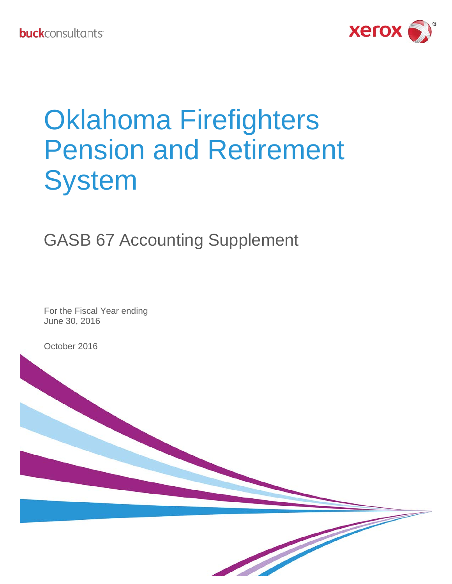

# Oklahoma Firefighters Pension and Retirement **System**

## GASB 67 Accounting Supplement

For the Fiscal Year ending June 30, 2016

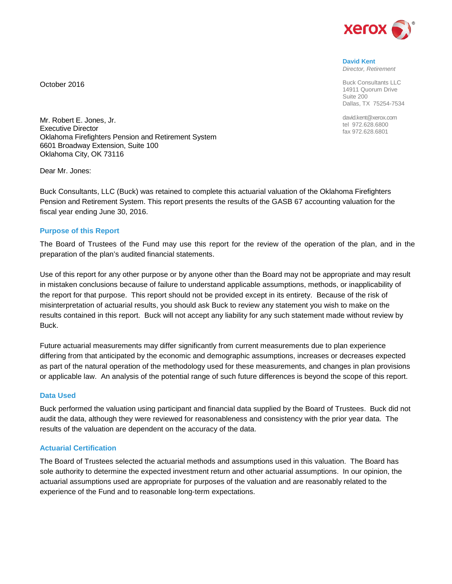

**David Kent** *Director, Retirement*

Buck Consultants LLC 14911 Quorum Drive Suite 200 Dallas, TX 75254-7534

david.kent@xerox.com tel 972.628.6800 fax 972.628.6801

Mr. Robert E. Jones, Jr. Executive Director Oklahoma Firefighters Pension and Retirement System 6601 Broadway Extension, Suite 100 Oklahoma City, OK 73116

Dear Mr. Jones:

October 2016

Buck Consultants, LLC (Buck) was retained to complete this actuarial valuation of the Oklahoma Firefighters Pension and Retirement System. This report presents the results of the GASB 67 accounting valuation for the fiscal year ending June 30, 2016.

#### **Purpose of this Report**

The Board of Trustees of the Fund may use this report for the review of the operation of the plan, and in the preparation of the plan's audited financial statements.

Use of this report for any other purpose or by anyone other than the Board may not be appropriate and may result in mistaken conclusions because of failure to understand applicable assumptions, methods, or inapplicability of the report for that purpose. This report should not be provided except in its entirety. Because of the risk of misinterpretation of actuarial results, you should ask Buck to review any statement you wish to make on the results contained in this report. Buck will not accept any liability for any such statement made without review by Buck.

Future actuarial measurements may differ significantly from current measurements due to plan experience differing from that anticipated by the economic and demographic assumptions, increases or decreases expected as part of the natural operation of the methodology used for these measurements, and changes in plan provisions or applicable law. An analysis of the potential range of such future differences is beyond the scope of this report.

#### **Data Used**

Buck performed the valuation using participant and financial data supplied by the Board of Trustees. Buck did not audit the data, although they were reviewed for reasonableness and consistency with the prior year data. The results of the valuation are dependent on the accuracy of the data.

## **Actuarial Certification**

The Board of Trustees selected the actuarial methods and assumptions used in this valuation. The Board has sole authority to determine the expected investment return and other actuarial assumptions. In our opinion, the actuarial assumptions used are appropriate for purposes of the valuation and are reasonably related to the experience of the Fund and to reasonable long-term expectations.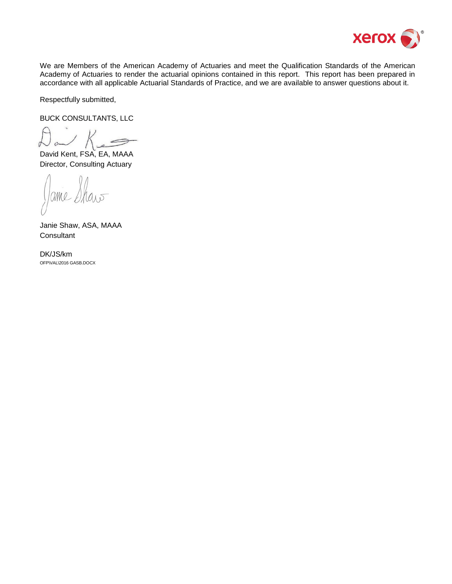

We are Members of the American Academy of Actuaries and meet the Qualification Standards of the American Academy of Actuaries to render the actuarial opinions contained in this report. This report has been prepared in accordance with all applicable Actuarial Standards of Practice, and we are available to answer questions about it.

Respectfully submitted,

BUCK CONSULTANTS, LLC

David Kent, FSA, EA, MAAA Director, Consulting Actuary

200

Janie Shaw, ASA, MAAA **Consultant** 

DK/JS/km OFP\VAL\2016 GASB.DOCX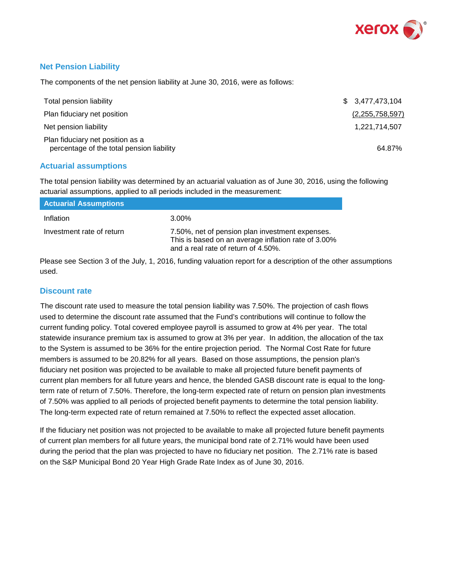

## **Net Pension Liability**

The components of the net pension liability at June 30, 2016, were as follows:

| Total pension liability                                                       | \$3,477,473,104    |
|-------------------------------------------------------------------------------|--------------------|
| Plan fiduciary net position                                                   | (2, 255, 758, 597) |
| Net pension liability                                                         | 1.221.714.507      |
| Plan fiduciary net position as a<br>percentage of the total pension liability | 64.87%             |

## **Actuarial assumptions**

The total pension liability was determined by an actuarial valuation as of June 30, 2016, using the following actuarial assumptions, applied to all periods included in the measurement:

| <b>Actuarial Assumptions</b> |                                                                                                                                               |
|------------------------------|-----------------------------------------------------------------------------------------------------------------------------------------------|
| Inflation                    | $3.00\%$                                                                                                                                      |
| Investment rate of return    | 7.50%, net of pension plan investment expenses.<br>This is based on an average inflation rate of 3.00%<br>and a real rate of return of 4.50%. |

Please see Section 3 of the July, 1, 2016, funding valuation report for a description of the other assumptions used.

#### **Discount rate**

The discount rate used to measure the total pension liability was 7.50%. The projection of cash flows used to determine the discount rate assumed that the Fund's contributions will continue to follow the current funding policy. Total covered employee payroll is assumed to grow at 4% per year. The total statewide insurance premium tax is assumed to grow at 3% per year. In addition, the allocation of the tax to the System is assumed to be 36% for the entire projection period. The Normal Cost Rate for future members is assumed to be 20.82% for all years. Based on those assumptions, the pension plan's fiduciary net position was projected to be available to make all projected future benefit payments of current plan members for all future years and hence, the blended GASB discount rate is equal to the longterm rate of return of 7.50%. Therefore, the long-term expected rate of return on pension plan investments of 7.50% was applied to all periods of projected benefit payments to determine the total pension liability. The long-term expected rate of return remained at 7.50% to reflect the expected asset allocation.

If the fiduciary net position was not projected to be available to make all projected future benefit payments of current plan members for all future years, the municipal bond rate of 2.71% would have been used during the period that the plan was projected to have no fiduciary net position. The 2.71% rate is based on the S&P Municipal Bond 20 Year High Grade Rate Index as of June 30, 2016.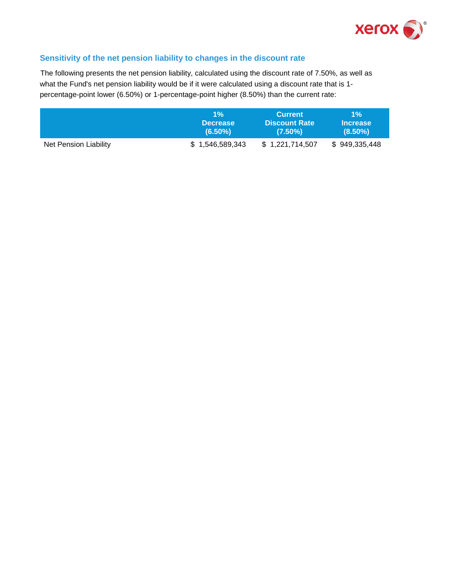

## **Sensitivity of the net pension liability to changes in the discount rate**

The following presents the net pension liability, calculated using the discount rate of 7.50%, as well as what the Fund's net pension liability would be if it were calculated using a discount rate that is 1 percentage-point lower (6.50%) or 1-percentage-point higher (8.50%) than the current rate:

|                       | $1\%$           | <b>Current</b>       | $1\%$           |
|-----------------------|-----------------|----------------------|-----------------|
|                       | <b>Decrease</b> | <b>Discount Rate</b> | <b>Increase</b> |
|                       | $(6.50\%)$      | $(7.50\%)$           | $(8.50\%)$      |
| Net Pension Liability | \$1,546,589,343 | \$1,221,714,507      | \$949,335,448   |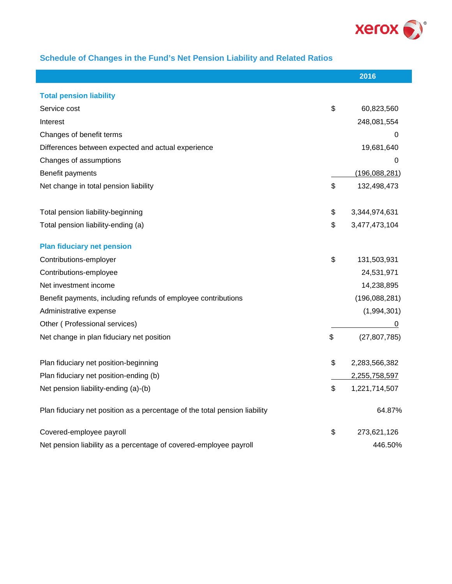

## **Schedule of Changes in the Fund's Net Pension Liability and Related Ratios**

I

|                                                                            | 2016                 |
|----------------------------------------------------------------------------|----------------------|
| <b>Total pension liability</b>                                             |                      |
| Service cost                                                               | \$<br>60,823,560     |
| Interest                                                                   | 248,081,554          |
| Changes of benefit terms                                                   | 0                    |
| Differences between expected and actual experience                         | 19,681,640           |
| Changes of assumptions                                                     | 0                    |
| Benefit payments                                                           | (196, 088, 281)      |
| Net change in total pension liability                                      | \$<br>132,498,473    |
| Total pension liability-beginning                                          | \$<br>3,344,974,631  |
| Total pension liability-ending (a)                                         | \$<br>3,477,473,104  |
| <b>Plan fiduciary net pension</b>                                          |                      |
| Contributions-employer                                                     | \$<br>131,503,931    |
| Contributions-employee                                                     | 24,531,971           |
| Net investment income                                                      | 14,238,895           |
| Benefit payments, including refunds of employee contributions              | (196,088,281)        |
| Administrative expense                                                     | (1,994,301)          |
| Other (Professional services)                                              | 0                    |
| Net change in plan fiduciary net position                                  | \$<br>(27, 807, 785) |
| Plan fiduciary net position-beginning                                      | \$<br>2,283,566,382  |
| Plan fiduciary net position-ending (b)                                     | 2,255,758,597        |
| Net pension liability-ending (a)-(b)                                       | \$<br>1,221,714,507  |
| Plan fiduciary net position as a percentage of the total pension liability | 64.87%               |
| Covered-employee payroll                                                   | \$<br>273,621,126    |
| Net pension liability as a percentage of covered-employee payroll          | 446.50%              |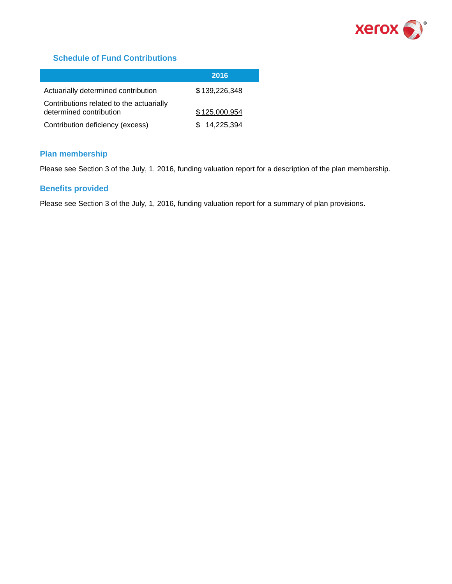

## **Schedule of Fund Contributions**

|                                                                     | 2016          |
|---------------------------------------------------------------------|---------------|
| Actuarially determined contribution                                 | \$139,226,348 |
| Contributions related to the actuarially<br>determined contribution | \$125,000,954 |
| Contribution deficiency (excess)                                    | \$14,225,394  |

## **Plan membership**

Please see Section 3 of the July, 1, 2016, funding valuation report for a description of the plan membership.

## **Benefits provided**

Please see Section 3 of the July, 1, 2016, funding valuation report for a summary of plan provisions.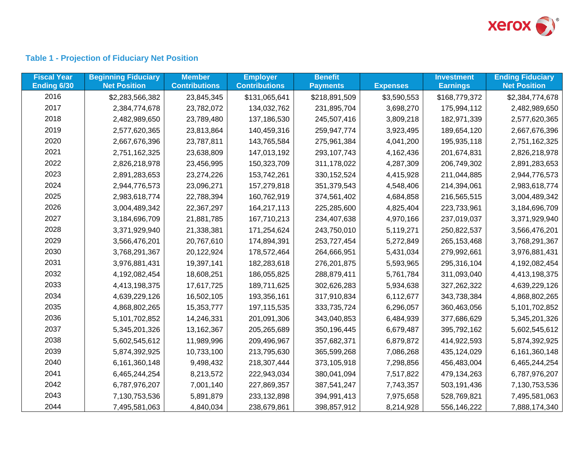

## **Table 1 - Projection of Fiduciary Net Position**

| <b>Fiscal Year</b><br>Ending 6/30 | <b>Beginning Fiduciary</b><br><b>Net Position</b> | <b>Member</b><br><b>Contributions</b> | <b>Employer</b><br><b>Contributions</b> | <b>Benefit</b><br><b>Payments</b> | <b>Expenses</b> | <b>Investment</b><br><b>Earnings</b> | <b>Ending Fiduciary</b><br><b>Net Position</b> |
|-----------------------------------|---------------------------------------------------|---------------------------------------|-----------------------------------------|-----------------------------------|-----------------|--------------------------------------|------------------------------------------------|
| 2016                              | \$2,283,566,382                                   | 23,845,345                            | \$131,065,641                           | \$218,891,509                     | \$3,590,553     | \$168,779,372                        | \$2,384,774,678                                |
| 2017                              | 2,384,774,678                                     | 23,782,072                            | 134,032,762                             | 231,895,704                       | 3,698,270       | 175,994,112                          | 2,482,989,650                                  |
| 2018                              | 2,482,989,650                                     | 23,789,480                            | 137,186,530                             | 245,507,416                       | 3,809,218       | 182,971,339                          | 2,577,620,365                                  |
| 2019                              | 2,577,620,365                                     | 23,813,864                            | 140,459,316                             | 259,947,774                       | 3,923,495       | 189,654,120                          | 2,667,676,396                                  |
| 2020                              | 2,667,676,396                                     | 23,787,811                            | 143,765,584                             | 275,961,384                       | 4,041,200       | 195,935,118                          | 2,751,162,325                                  |
| 2021                              | 2,751,162,325                                     | 23,638,809                            | 147,013,192                             | 293, 107, 743                     | 4,162,436       | 201,674,831                          | 2,826,218,978                                  |
| 2022                              | 2,826,218,978                                     | 23,456,995                            | 150,323,709                             | 311,178,022                       | 4,287,309       | 206,749,302                          | 2,891,283,653                                  |
| 2023                              | 2,891,283,653                                     | 23,274,226                            | 153,742,261                             | 330, 152, 524                     | 4,415,928       | 211,044,885                          | 2,944,776,573                                  |
| 2024                              | 2,944,776,573                                     | 23,096,271                            | 157,279,818                             | 351,379,543                       | 4,548,406       | 214,394,061                          | 2,983,618,774                                  |
| 2025                              | 2,983,618,774                                     | 22,788,394                            | 160,762,919                             | 374,561,402                       | 4,684,858       | 216,565,515                          | 3,004,489,342                                  |
| 2026                              | 3,004,489,342                                     | 22,367,297                            | 164,217,113                             | 225,285,600                       | 4,825,404       | 223,733,961                          | 3,184,696,709                                  |
| 2027                              | 3,184,696,709                                     | 21,881,785                            | 167,710,213                             | 234,407,638                       | 4,970,166       | 237,019,037                          | 3,371,929,940                                  |
| 2028                              | 3,371,929,940                                     | 21,338,381                            | 171,254,624                             | 243,750,010                       | 5,119,271       | 250,822,537                          | 3,566,476,201                                  |
| 2029                              | 3,566,476,201                                     | 20,767,610                            | 174,894,391                             | 253,727,454                       | 5,272,849       | 265, 153, 468                        | 3,768,291,367                                  |
| 2030                              | 3,768,291,367                                     | 20,122,924                            | 178,572,464                             | 264,666,951                       | 5,431,034       | 279,992,661                          | 3,976,881,431                                  |
| 2031                              | 3,976,881,431                                     | 19,397,141                            | 182,283,618                             | 276,201,875                       | 5,593,965       | 295,316,104                          | 4,192,082,454                                  |
| 2032                              | 4,192,082,454                                     | 18,608,251                            | 186,055,825                             | 288,879,411                       | 5,761,784       | 311,093,040                          | 4,413,198,375                                  |
| 2033                              | 4,413,198,375                                     | 17,617,725                            | 189,711,625                             | 302,626,283                       | 5,934,638       | 327,262,322                          | 4,639,229,126                                  |
| 2034                              | 4,639,229,126                                     | 16,502,105                            | 193,356,161                             | 317,910,834                       | 6,112,677       | 343,738,384                          | 4,868,802,265                                  |
| 2035                              | 4,868,802,265                                     | 15,353,777                            | 197, 115, 535                           | 333,735,724                       | 6,296,057       | 360,463,056                          | 5,101,702,852                                  |
| 2036                              | 5,101,702,852                                     | 14,246,331                            | 201,091,306                             | 343,040,853                       | 6,484,939       | 377,686,629                          | 5,345,201,326                                  |
| 2037                              | 5,345,201,326                                     | 13,162,367                            | 205,265,689                             | 350, 196, 445                     | 6,679,487       | 395,792,162                          | 5,602,545,612                                  |
| 2038                              | 5,602,545,612                                     | 11,989,996                            | 209,496,967                             | 357,682,371                       | 6,879,872       | 414,922,593                          | 5,874,392,925                                  |
| 2039                              | 5,874,392,925                                     | 10,733,100                            | 213,795,630                             | 365,599,268                       | 7,086,268       | 435,124,029                          | 6,161,360,148                                  |
| 2040                              | 6,161,360,148                                     | 9,498,432                             | 218,307,444                             | 373,105,918                       | 7,298,856       | 456,483,004                          | 6,465,244,254                                  |
| 2041                              | 6,465,244,254                                     | 8,213,572                             | 222,943,034                             | 380,041,094                       | 7,517,822       | 479,134,263                          | 6,787,976,207                                  |
| 2042                              | 6,787,976,207                                     | 7,001,140                             | 227,869,357                             | 387,541,247                       | 7,743,357       | 503,191,436                          | 7,130,753,536                                  |
| 2043                              | 7,130,753,536                                     | 5,891,879                             | 233, 132, 898                           | 394,991,413                       | 7,975,658       | 528,769,821                          | 7,495,581,063                                  |
| 2044                              | 7,495,581,063                                     | 4,840,034                             | 238,679,861                             | 398,857,912                       | 8,214,928       | 556,146,222                          | 7,888,174,340                                  |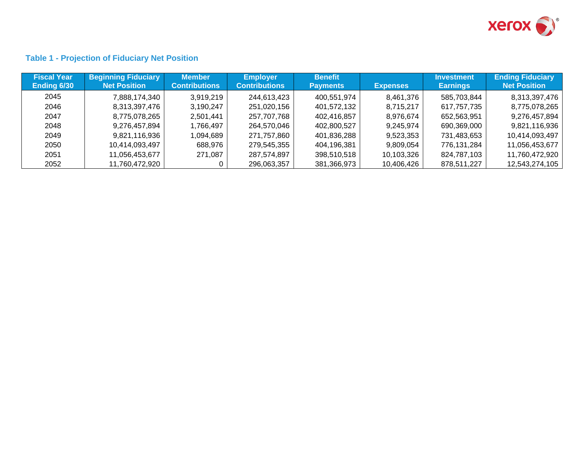

## **Table 1 - Projection of Fiduciary Net Position**

| <b>Fiscal Year</b> | <b>Beginning Fiduciary</b> | <b>Member</b>        | <b>Employer</b>      | <b>Benefit</b>  |                 | <b>Investment</b> | <b>Ending Fiduciary</b> |
|--------------------|----------------------------|----------------------|----------------------|-----------------|-----------------|-------------------|-------------------------|
| Ending 6/30        | <b>Net Position</b>        | <b>Contributions</b> | <b>Contributions</b> | <b>Payments</b> | <b>Expenses</b> | <b>Earnings</b>   | <b>Net Position</b>     |
| 2045               | 7,888,174,340              | 3.919.219            | 244,613,423          | 400,551,974     | 8,461,376       | 585,703,844       | 8,313,397,476           |
| 2046               | 8,313,397,476              | 3,190,247            | 251,020,156          | 401,572,132     | 8,715,217       | 617,757,735       | 8,775,078,265           |
| 2047               | 8,775,078,265              | 2,501,441            | 257,707,768          | 402,416,857     | 8,976,674       | 652,563,951       | 9,276,457,894           |
| 2048               | 9,276,457,894              | 1,766,497            | 264,570,046          | 402,800,527     | 9,245,974       | 690,369,000       | 9,821,116,936           |
| 2049               | 9,821,116,936              | 1,094,689            | 271,757,860          | 401,836,288     | 9,523,353       | 731,483,653       | 10,414,093,497          |
| 2050               | 10,414,093,497             | 688,976              | 279,545,355          | 404,196,381     | 9,809,054       | 776,131,284       | 11,056,453,677          |
| 2051               | 11.056.453.677             | 271,087              | 287,574,897          | 398.510.518     | 10,103,326      | 824,787,103       | 11,760,472,920          |
| 2052               | 11,760,472,920             |                      | 296,063,357          | 381,366,973     | 10,406,426      | 878,511,227       | 12,543,274,105          |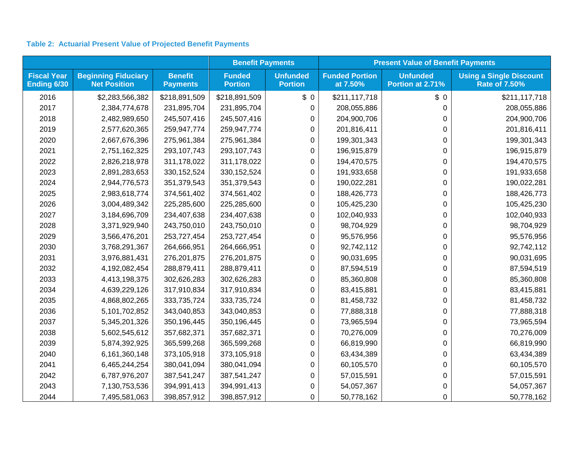## **Table 2: Actuarial Present Value of Projected Benefit Payments**

|                                   |                                                   |                                   | <b>Benefit Payments</b>         |                                   | <b>Present Value of Benefit Payments</b> |                                     |                                                        |  |
|-----------------------------------|---------------------------------------------------|-----------------------------------|---------------------------------|-----------------------------------|------------------------------------------|-------------------------------------|--------------------------------------------------------|--|
| <b>Fiscal Year</b><br>Ending 6/30 | <b>Beginning Fiduciary</b><br><b>Net Position</b> | <b>Benefit</b><br><b>Payments</b> | <b>Funded</b><br><b>Portion</b> | <b>Unfunded</b><br><b>Portion</b> | <b>Funded Portion</b><br>at 7.50%        | <b>Unfunded</b><br>Portion at 2.71% | <b>Using a Single Discount</b><br><b>Rate of 7.50%</b> |  |
| 2016                              | \$2,283,566,382                                   | \$218,891,509                     | \$218,891,509                   | \$0                               | \$211,117,718                            | \$0                                 | \$211,117,718                                          |  |
| 2017                              | 2,384,774,678                                     | 231,895,704                       | 231,895,704                     | 0                                 | 208,055,886                              | 0                                   | 208,055,886                                            |  |
| 2018                              | 2,482,989,650                                     | 245,507,416                       | 245,507,416                     | 0                                 | 204,900,706                              | 0                                   | 204,900,706                                            |  |
| 2019                              | 2,577,620,365                                     | 259,947,774                       | 259,947,774                     | 0                                 | 201,816,411                              | 0                                   | 201,816,411                                            |  |
| 2020                              | 2,667,676,396                                     | 275,961,384                       | 275,961,384                     | 0                                 | 199,301,343                              | 0                                   | 199,301,343                                            |  |
| 2021                              | 2,751,162,325                                     | 293, 107, 743                     | 293, 107, 743                   | 0                                 | 196,915,879                              | 0                                   | 196,915,879                                            |  |
| 2022                              | 2,826,218,978                                     | 311,178,022                       | 311,178,022                     | 0                                 | 194,470,575                              | 0                                   | 194,470,575                                            |  |
| 2023                              | 2,891,283,653                                     | 330, 152, 524                     | 330, 152, 524                   | 0                                 | 191,933,658                              | 0                                   | 191,933,658                                            |  |
| 2024                              | 2,944,776,573                                     | 351,379,543                       | 351,379,543                     | 0                                 | 190,022,281                              | 0                                   | 190,022,281                                            |  |
| 2025                              | 2,983,618,774                                     | 374,561,402                       | 374,561,402                     | 0                                 | 188,426,773                              | 0                                   | 188,426,773                                            |  |
| 2026                              | 3,004,489,342                                     | 225,285,600                       | 225,285,600                     | 0                                 | 105,425,230                              | 0                                   | 105,425,230                                            |  |
| 2027                              | 3,184,696,709                                     | 234,407,638                       | 234,407,638                     | 0                                 | 102,040,933                              | 0                                   | 102,040,933                                            |  |
| 2028                              | 3,371,929,940                                     | 243,750,010                       | 243,750,010                     | 0                                 | 98,704,929                               | 0                                   | 98,704,929                                             |  |
| 2029                              | 3,566,476,201                                     | 253,727,454                       | 253,727,454                     | 0                                 | 95,576,956                               | 0                                   | 95,576,956                                             |  |
| 2030                              | 3,768,291,367                                     | 264,666,951                       | 264,666,951                     | 0                                 | 92,742,112                               | 0                                   | 92,742,112                                             |  |
| 2031                              | 3,976,881,431                                     | 276,201,875                       | 276,201,875                     | 0                                 | 90,031,695                               | 0                                   | 90,031,695                                             |  |
| 2032                              | 4,192,082,454                                     | 288,879,411                       | 288,879,411                     | 0                                 | 87,594,519                               | 0                                   | 87,594,519                                             |  |
| 2033                              | 4,413,198,375                                     | 302,626,283                       | 302,626,283                     | 0                                 | 85,360,808                               | 0                                   | 85,360,808                                             |  |
| 2034                              | 4,639,229,126                                     | 317,910,834                       | 317,910,834                     | 0                                 | 83,415,881                               | 0                                   | 83,415,881                                             |  |
| 2035                              | 4,868,802,265                                     | 333,735,724                       | 333,735,724                     | 0                                 | 81,458,732                               | 0                                   | 81,458,732                                             |  |
| 2036                              | 5,101,702,852                                     | 343,040,853                       | 343,040,853                     | 0                                 | 77,888,318                               | 0                                   | 77,888,318                                             |  |
| 2037                              | 5,345,201,326                                     | 350,196,445                       | 350,196,445                     | 0                                 | 73,965,594                               | 0                                   | 73,965,594                                             |  |
| 2038                              | 5,602,545,612                                     | 357,682,371                       | 357,682,371                     | 0                                 | 70,276,009                               | 0                                   | 70,276,009                                             |  |
| 2039                              | 5,874,392,925                                     | 365,599,268                       | 365,599,268                     | 0                                 | 66,819,990                               | 0                                   | 66,819,990                                             |  |
| 2040                              | 6,161,360,148                                     | 373,105,918                       | 373,105,918                     | 0                                 | 63,434,389                               | 0                                   | 63,434,389                                             |  |
| 2041                              | 6,465,244,254                                     | 380,041,094                       | 380,041,094                     | 0                                 | 60,105,570                               | 0                                   | 60,105,570                                             |  |
| 2042                              | 6,787,976,207                                     | 387,541,247                       | 387,541,247                     | 0                                 | 57,015,591                               | 0                                   | 57,015,591                                             |  |
| 2043                              | 7,130,753,536                                     | 394,991,413                       | 394,991,413                     | 0                                 | 54,057,367                               | 0                                   | 54,057,367                                             |  |
| 2044                              | 7,495,581,063                                     | 398,857,912                       | 398,857,912                     | 0                                 | 50,778,162                               | 0                                   | 50,778,162                                             |  |